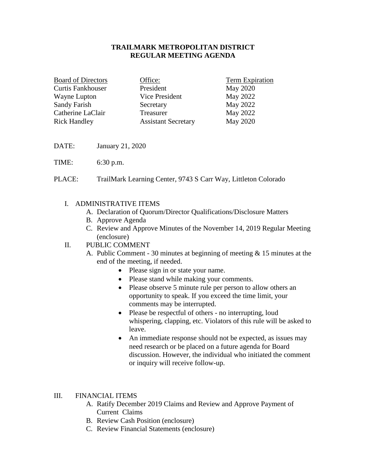## **TRAILMARK METROPOLITAN DISTRICT REGULAR MEETING AGENDA**

| <b>Board of Directors</b> | Office:                    | <b>Term Expiration</b> |
|---------------------------|----------------------------|------------------------|
| <b>Curtis Fankhouser</b>  | President                  | May 2020               |
| Wayne Lupton              | Vice President             | May 2022               |
| Sandy Farish              | Secretary                  | May 2022               |
| Catherine LaClair         | Treasurer                  | May 2022               |
| <b>Rick Handley</b>       | <b>Assistant Secretary</b> | May 2020               |

- DATE: January 21, 2020
- TIME: 6:30 p.m.
- PLACE: TrailMark Learning Center, 9743 S Carr Way, Littleton Colorado

## I. ADMINISTRATIVE ITEMS

- A. Declaration of Quorum/Director Qualifications/Disclosure Matters
- B. Approve Agenda
- C. Review and Approve Minutes of the November 14, 2019 Regular Meeting (enclosure)

# II. PUBLIC COMMENT

- A. Public Comment 30 minutes at beginning of meeting  $\&$  15 minutes at the end of the meeting, if needed.
	- Please sign in or state your name.
	- Please stand while making your comments.
	- Please observe 5 minute rule per person to allow others an opportunity to speak. If you exceed the time limit, your comments may be interrupted.
	- Please be respectful of others no interrupting, loud whispering, clapping, etc. Violators of this rule will be asked to leave.
	- An immediate response should not be expected, as issues may need research or be placed on a future agenda for Board discussion. However, the individual who initiated the comment or inquiry will receive follow-up.

### III. FINANCIAL ITEMS

- A. Ratify December 2019 Claims and Review and Approve Payment of Current Claims
- B. Review Cash Position (enclosure)
- C. Review Financial Statements (enclosure)